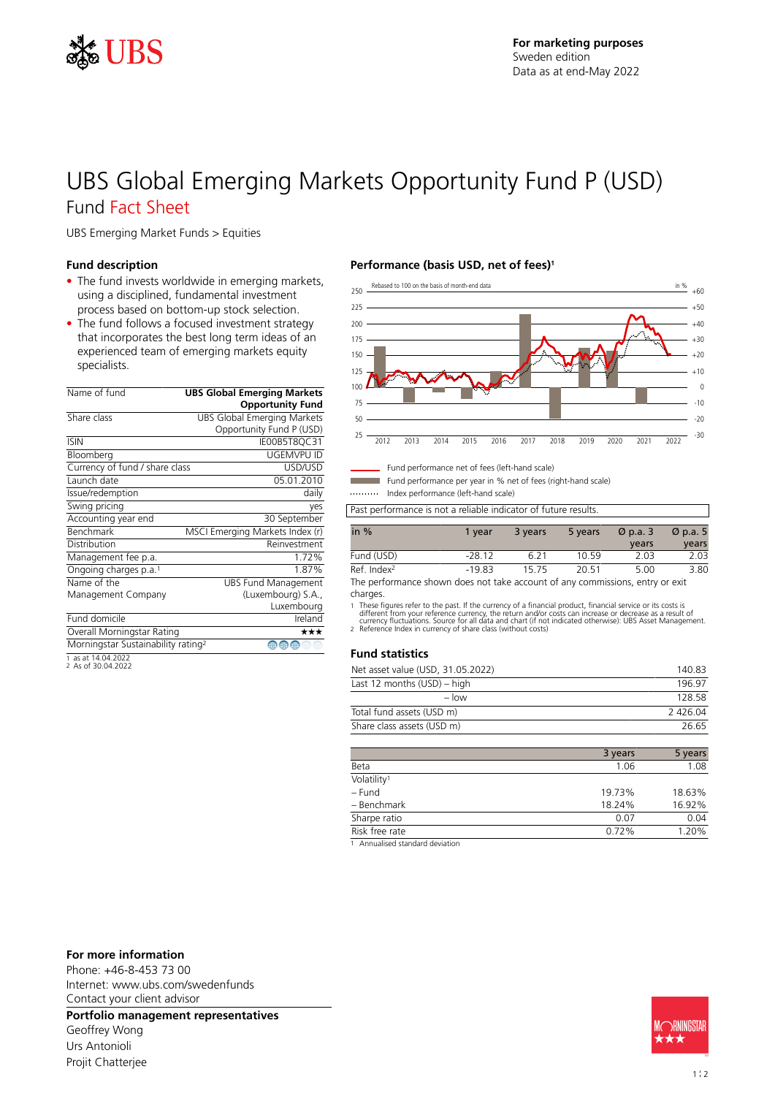

# UBS Global Emerging Markets Opportunity Fund P (USD) Fund Fact Sheet

UBS Emerging Market Funds > Equities

#### **Fund description**

- The fund invests worldwide in emerging markets, using a disciplined, fundamental investment process based on bottom-up stock selection.
- The fund follows a focused investment strategy that incorporates the best long term ideas of an experienced team of emerging markets equity specialists.

| Name of fund                                   | <b>UBS Global Emerging Markets</b><br><b>Opportunity Fund</b> |
|------------------------------------------------|---------------------------------------------------------------|
| Share class                                    | UBS Global Emerging Markets                                   |
|                                                | Opportunity Fund P (USD)                                      |
| <b>ISIN</b>                                    | IE00B5T8QC31                                                  |
| Bloomberg                                      | UGEMVPU ID                                                    |
| Currency of fund / share class                 | USD/USD                                                       |
| Launch date                                    | 05.01.2010                                                    |
| Issue/redemption                               | daily                                                         |
| Swing pricing                                  | yes                                                           |
| Accounting year end                            | 30 September                                                  |
| <b>Benchmark</b>                               | MSCI Emerging Markets Index (r)                               |
| Distribution                                   | Reinvestment                                                  |
| Management fee p.a.                            | 1.72%                                                         |
| Ongoing charges p.a. <sup>1</sup>              | 1.87%                                                         |
| Name of the                                    | <b>UBS Fund Management</b>                                    |
| Management Company                             | (Luxembourg) S.A.,                                            |
|                                                | Luxembourg                                                    |
| Fund domicile                                  | Ireland                                                       |
| Overall Morningstar Rating                     | ★★★                                                           |
| Morningstar Sustainability rating <sup>2</sup> | ⊕<br>∰                                                        |
|                                                |                                                               |

1 as at 14.04.2022 2 As of 30.04.2022

### **Performance (basis USD, net of fees)<sup>1</sup>**



Fund performance net of fees (left-hand scale)

Fund performance per year in % net of fees (right-hand scale) Index performance (left-hand scale)

Past performance is not a reliable indicator of future results.

| in $%$                 | 1 vear   | 3 years | 5 years | $\varnothing$ p.a. 3 | $\varnothing$ p.a. 5 |
|------------------------|----------|---------|---------|----------------------|----------------------|
|                        |          |         |         | years                | years                |
| Fund (USD)             | $-28.12$ | 6 21    | 1059    | 2.03                 | 2.03                 |
| Ref Index <sup>2</sup> | $-19.83$ | 1575    | 20.51   | 5.00                 | 3.80                 |

The performance shown does not take account of any commissions, entry or exit charges.

1 These figures refer to the past. If the currency of a financial product, financial service or its costs is<br>different from your reference currency, the return and/or costs can increase or decrease as a result of<br>currency

#### **Fund statistics**

| Net asset value (USD, 31.05.2022) | 140.83  |
|-----------------------------------|---------|
| Last 12 months (USD) – high       | 196 97  |
| $-$ low                           | 128.58  |
| Total fund assets (USD m)         | 2426.04 |
| Share class assets (USD m)        | 26.65   |
|                                   |         |

|                         | 3 years | 5 years |
|-------------------------|---------|---------|
| Beta                    | 1.06    | 1.08    |
| Volatility <sup>1</sup> |         |         |
| - Fund                  | 19.73%  | 18.63%  |
| - Benchmark             | 18.24%  | 16.92%  |
| Sharpe ratio            | 0.07    | 0.04    |
| Risk free rate          | 0.72%   | 1.20%   |
|                         |         |         |

1 Annualised standard deviation

#### **For more information**

Phone: +46-8-453 73 00 Internet: www.ubs.com/swedenfunds Contact your client advisor

**Portfolio management representatives**

Geoffrey Wong Urs Antonioli Projit Chatterjee